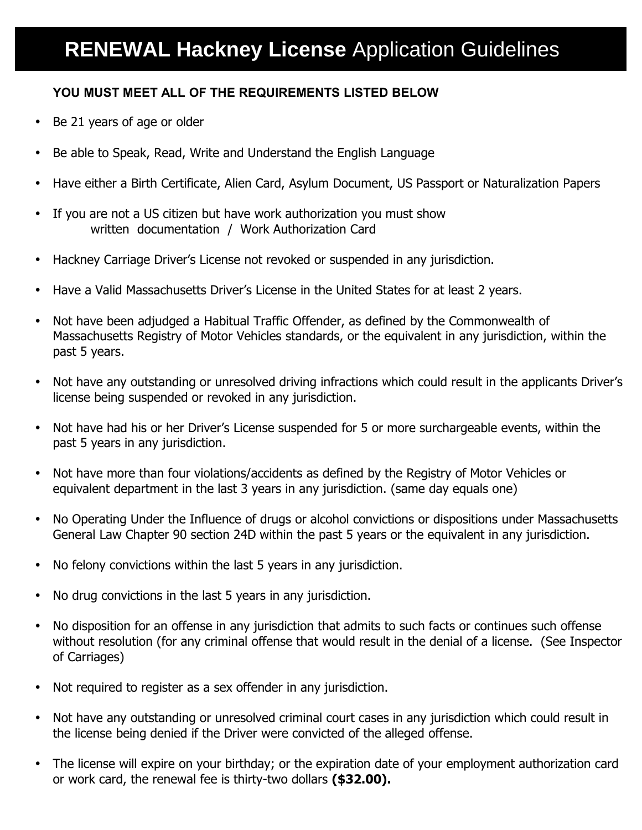## **YOU MUST MEET ALL OF THE REQUIREMENTS LISTED BELOW**

- Be 21 years of age or older
- Be able to Speak, Read, Write and Understand the English Language
- Have either a Birth Certificate, Alien Card, Asylum Document, US Passport or Naturalization Papers
- If you are not a US citizen but have work authorization you must show written documentation / Work Authorization Card
- Hackney Carriage Driver's License not revoked or suspended in any jurisdiction.
- Have a Valid Massachusetts Driver's License in the United States for at least 2 years.
- Not have been adjudged a Habitual Traffic Offender, as defined by the Commonwealth of Massachusetts Registry of Motor Vehicles standards, or the equivalent in any jurisdiction, within the past 5 years.
- Not have any outstanding or unresolved driving infractions which could result in the applicants Driver's license being suspended or revoked in any jurisdiction.
- Not have had his or her Driver's License suspended for 5 or more surchargeable events, within the past 5 years in any jurisdiction.
- Not have more than four violations/accidents as defined by the Registry of Motor Vehicles or equivalent department in the last 3 years in any jurisdiction. (same day equals one)
- No Operating Under the Influence of drugs or alcohol convictions or dispositions under Massachusetts General Law Chapter 90 section 24D within the past 5 years or the equivalent in any jurisdiction.
- No felony convictions within the last 5 years in any jurisdiction.
- No drug convictions in the last 5 years in any jurisdiction.
- No disposition for an offense in any jurisdiction that admits to such facts or continues such offense without resolution (for any criminal offense that would result in the denial of a license. (See Inspector of Carriages)
- Not required to register as a sex offender in any jurisdiction.
- Not have any outstanding or unresolved criminal court cases in any jurisdiction which could result in the license being denied if the Driver were convicted of the alleged offense.
- The license will expire on your birthday; or the expiration date of your employment authorization card or work card, the renewal fee is thirty-two dollars **(\$32.00).**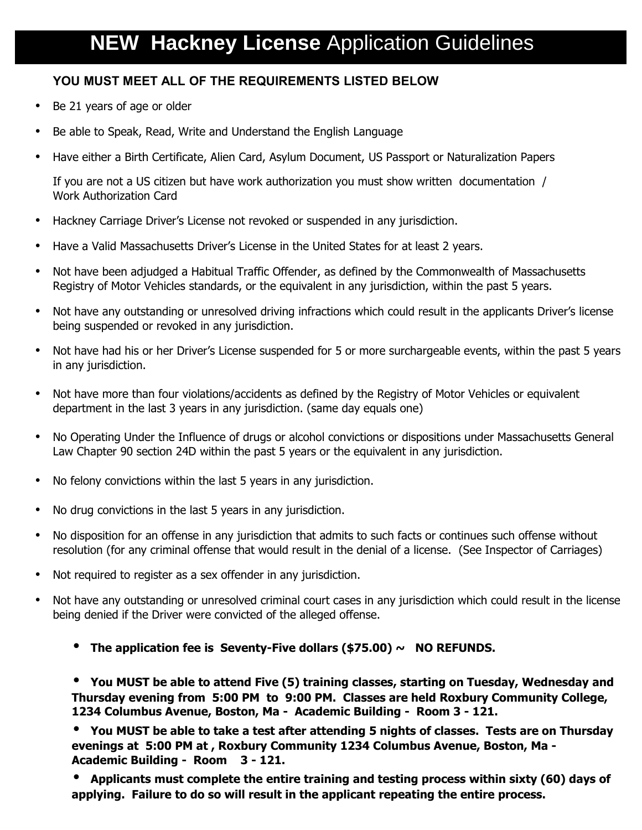## **YOU MUST MEET ALL OF THE REQUIREMENTS LISTED BELOW**

- Be 21 years of age or older
- Be able to Speak, Read, Write and Understand the English Language
- Have either a Birth Certificate, Alien Card, Asylum Document, US Passport or Naturalization Papers

If you are not a US citizen but have work authorization you must show written documentation / Work Authorization Card

- Hackney Carriage Driver's License not revoked or suspended in any jurisdiction.
- Have a Valid Massachusetts Driver's License in the United States for at least 2 years.
- Not have been adjudged a Habitual Traffic Offender, as defined by the Commonwealth of Massachusetts Registry of Motor Vehicles standards, or the equivalent in any jurisdiction, within the past 5 years.
- Not have any outstanding or unresolved driving infractions which could result in the applicants Driver's license being suspended or revoked in any jurisdiction.
- Not have had his or her Driver's License suspended for 5 or more surchargeable events, within the past 5 years in any jurisdiction.
- Not have more than four violations/accidents as defined by the Registry of Motor Vehicles or equivalent department in the last 3 years in any jurisdiction. (same day equals one)
- No Operating Under the Influence of drugs or alcohol convictions or dispositions under Massachusetts General Law Chapter 90 section 24D within the past 5 years or the equivalent in any jurisdiction.
- No felony convictions within the last 5 years in any jurisdiction.
- No drug convictions in the last 5 years in any jurisdiction.
- No disposition for an offense in any jurisdiction that admits to such facts or continues such offense without resolution (for any criminal offense that would result in the denial of a license. (See Inspector of Carriages)
- Not required to register as a sex offender in any jurisdiction.
- Not have any outstanding or unresolved criminal court cases in any jurisdiction which could result in the license being denied if the Driver were convicted of the alleged offense.
	- **The application fee is Seventy-Five dollars (\$75.00) ~ NO REFUNDS.**

• **You MUST be able to attend Five (5) training classes, starting on Tuesday, Wednesday and Thursday evening from 5:00 PM to 9:00 PM. Classes are held Roxbury Community College, 1234 Columbus Avenue, Boston, Ma - Academic Building - Room 3 - 121.** 

• **You MUST be able to take a test after attending 5 nights of classes. Tests are on Thursday evenings at 5:00 PM at , Roxbury Community 1234 Columbus Avenue, Boston, Ma - Academic Building - Room 3 - 121.** 

• **Applicants must complete the entire training and testing process within sixty (60) days of applying. Failure to do so will result in the applicant repeating the entire process.**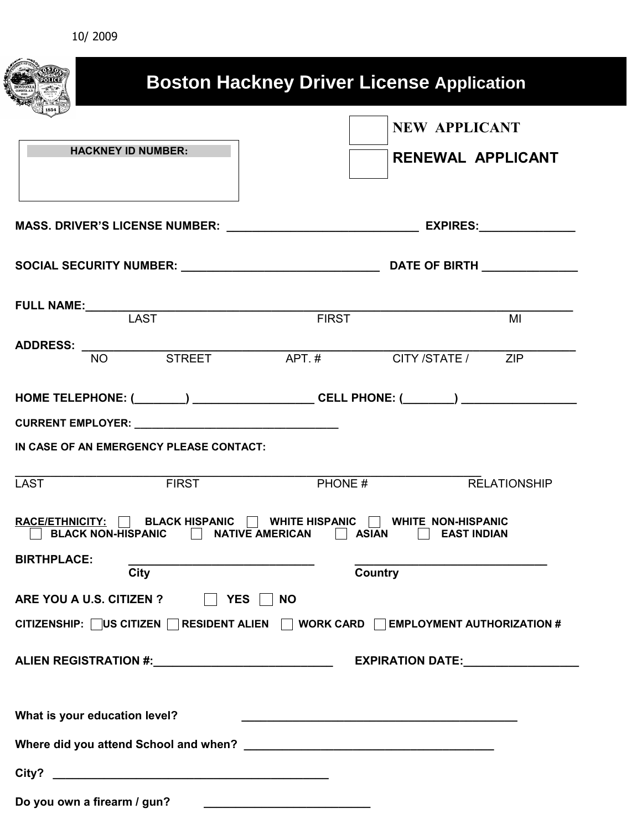| 10/2009                                                                                                             |                                                  |                                                  |
|---------------------------------------------------------------------------------------------------------------------|--------------------------------------------------|--------------------------------------------------|
|                                                                                                                     | <b>Boston Hackney Driver License Application</b> |                                                  |
| <b>HACKNEY ID NUMBER:</b>                                                                                           |                                                  | <b>NEW APPLICANT</b><br><b>RENEWAL APPLICANT</b> |
|                                                                                                                     |                                                  |                                                  |
|                                                                                                                     |                                                  |                                                  |
| FULL NAME:<br>LAST                                                                                                  | <b>FIRST</b>                                     | M <sub>l</sub>                                   |
| ADDRESS: NO STREET APT.# CITY/STATE/ ZIP                                                                            |                                                  |                                                  |
| IN CASE OF AN EMERGENCY PLEASE CONTACT:<br><b>FIRST</b><br><b>LAST</b>                                              | PHONE #                                          | <b>RELATIONSHIP</b>                              |
| <b>RACE/ETHNICITY:</b><br><b>BLACK HISPANIC</b><br><b>BLACK NON-HISPANIC</b><br><b>NATIVE AMERICAN</b>              | <b>WHITE HISPANIC</b><br><b>ASIAN</b>            | <b>WHITE NON-HISPANIC</b><br><b>EAST INDIAN</b>  |
| <b>BIRTHPLACE:</b><br>City                                                                                          | Country                                          |                                                  |
| ARE YOU A U.S. CITIZEN ?<br>YES NO<br>CITIZENSHIP: US CITIZEN RESIDENT ALIEN A WORK CARD EMPLOYMENT AUTHORIZATION # |                                                  |                                                  |
| ALIEN REGISTRATION #:______________________________                                                                 |                                                  | EXPIRATION DATE:_______________                  |
| What is your education level?                                                                                       |                                                  |                                                  |
|                                                                                                                     |                                                  |                                                  |
|                                                                                                                     |                                                  |                                                  |
| Do you own a firearm / gun?                                                                                         |                                                  |                                                  |